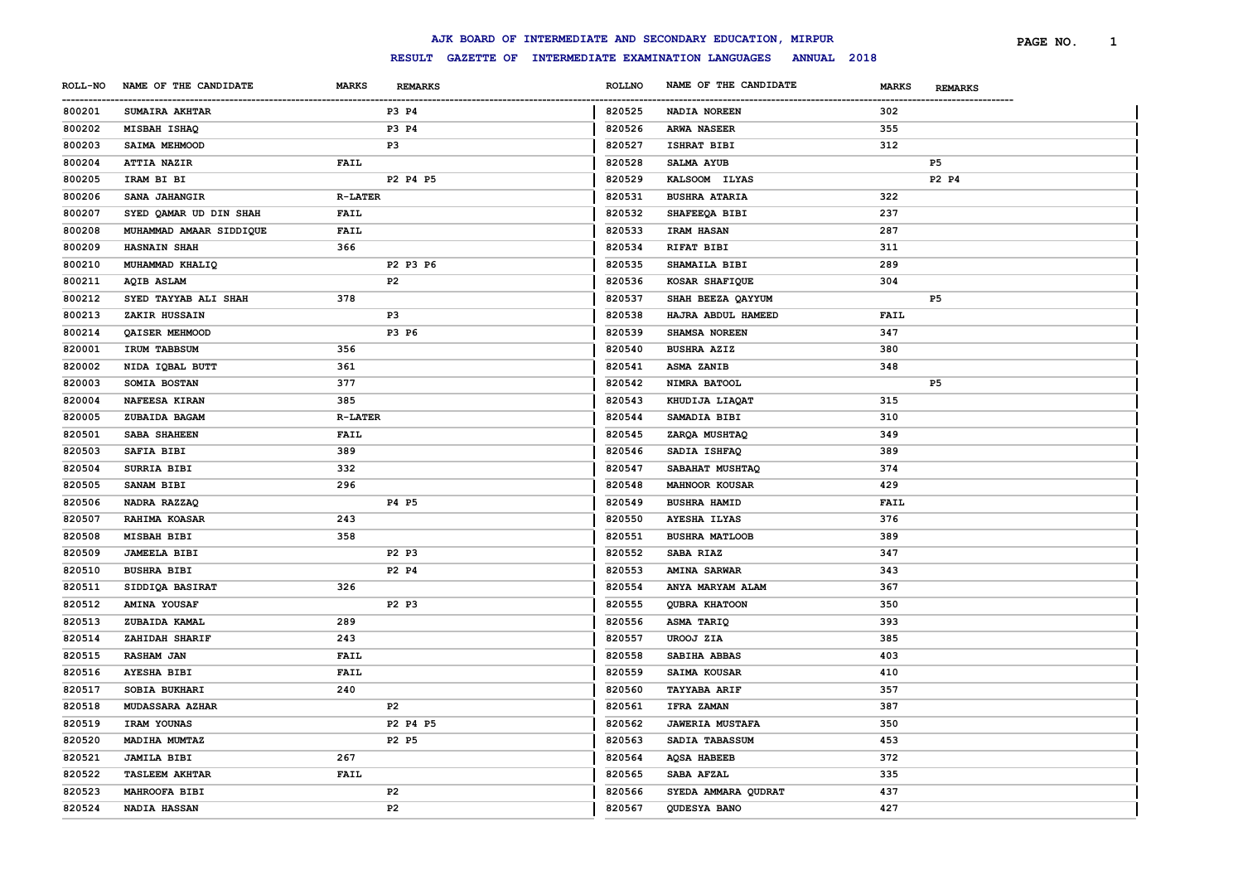|                       |                         |                |                |                        | AJK BOARD OF INTERMEDIATE AND SECONDARY EDUCATION, MIRPUR        |              |                | PAGE NO. | <sup>1</sup> |
|-----------------------|-------------------------|----------------|----------------|------------------------|------------------------------------------------------------------|--------------|----------------|----------|--------------|
|                       |                         |                |                |                        | RESULT GAZETTE OF INTERMEDIATE EXAMINATION LANGUAGES ANNUAL 2018 |              |                |          |              |
| <b>ROLL-NO</b>        | NAME OF THE CANDIDATE   | <b>MARKS</b>   | <b>REMARKS</b> | <b>ROLLNO</b>          | NAME OF THE CANDIDATE                                            | <b>MARKS</b> | <b>REMARKS</b> |          |              |
| -----------<br>800201 | <b>SUMAIRA AKHTAR</b>   |                | P3 P4          | ------------<br>820525 | NADIA NOREEN                                                     | 302          |                |          |              |
| 800202                | MISBAH ISHAQ            |                | P3 P4          | 820526                 | ARWA NASEER                                                      | 355          |                |          |              |
| 800203                | <b>SAIMA MEHMOOD</b>    |                | P3             | 820527                 | ISHRAT BIBI                                                      | 312          |                |          |              |
| 800204                | ATTIA NAZIR             | FAIL           |                | 820528                 | <b>SALMA AYUB</b>                                                |              | P <sub>5</sub> |          |              |
| 800205                | IRAM BI BI              |                | P2 P4 P5       | 820529                 | KALSOOM ILYAS                                                    |              | P2 P4          |          |              |
| 800206                | SANA JAHANGIR           | <b>R-LATER</b> |                | 820531                 | <b>BUSHRA ATARIA</b>                                             | 322          |                |          |              |
| 800207                | SYED QAMAR UD DIN SHAH  | FAIL           |                | 820532                 | SHAFEEQA BIBI                                                    | 237          |                |          |              |
| 800208                | MUHAMMAD AMAAR SIDDIQUE | <b>FAIL</b>    |                | 820533                 | <b>IRAM HASAN</b>                                                | 287          |                |          |              |
| 800209                | <b>HASNAIN SHAH</b>     | 366            |                | 820534                 | RIFAT BIBI                                                       | 311          |                |          |              |
| 800210                | MUHAMMAD KHALIQ         |                | P2 P3 P6       | 820535                 | SHAMAILA BIBI                                                    | 289          |                |          |              |
| 800211                | <b>AQIB ASLAM</b>       |                | P2             | 820536                 | KOSAR SHAFIQUE                                                   | 304          |                |          |              |
| 800212                | SYED TAYYAB ALI SHAH    | 378            |                | 820537                 | SHAH BEEZA QAYYUM                                                |              | P5             |          |              |
| 800213                | ZAKIR HUSSAIN           |                | P3             | 820538                 | HAJRA ABDUL HAMEED                                               | FAIL         |                |          |              |
| 800214                | QAISER MEHMOOD          |                | P3 P6          | 820539                 | SHAMSA NOREEN                                                    | 347          |                |          |              |
| 820001                | IRUM TABBSUM            | 356            |                | 820540                 | <b>BUSHRA AZIZ</b>                                               | 380          |                |          |              |
| 820002                | NIDA IQBAL BUTT         | 361            |                | 820541                 | ASMA ZANIB                                                       | 348          |                |          |              |
| 820003                | SOMIA BOSTAN            | 377            |                | 820542                 | NIMRA BATOOL                                                     |              | P5             |          |              |
| 820004                | NAFEESA KIRAN           | 385            |                | 820543                 | KHUDIJA LIAQAT                                                   | 315          |                |          |              |
| 820005                | ZUBAIDA BAGAM           | <b>R-LATER</b> |                | 820544                 | SAMADIA BIBI                                                     | 310          |                |          |              |
| 820501                | SABA SHAHEEN            | <b>FAIL</b>    |                | 820545                 | ZARQA MUSHTAQ                                                    | 349          |                |          |              |
| 820503                | SAFIA BIBI              | 389            |                | 820546                 | SADIA ISHFAQ                                                     | 389          |                |          |              |
| 820504                | SURRIA BIBI             | 332            |                | 820547                 | SABAHAT MUSHTAQ                                                  | 374          |                |          |              |
| 820505                | <b>SANAM BIBI</b>       | 296            |                | 820548                 | <b>MAHNOOR KOUSAR</b>                                            | 429          |                |          |              |
| 820506                | NADRA RAZZAQ            |                | P4 P5          | 820549                 | <b>BUSHRA HAMID</b>                                              | FAIL         |                |          |              |
| 820507                | <b>RAHIMA KOASAR</b>    | 243            |                | 820550                 | <b>AYESHA ILYAS</b>                                              | 376          |                |          |              |
| 820508                | MISBAH BIBI             | 358            |                | 820551                 | <b>BUSHRA MATLOOB</b>                                            | 389          |                |          |              |
| 820509                | <b>JAMEELA BIBI</b>     |                | P2 P3          | 820552                 | SABA RIAZ                                                        | 347          |                |          |              |
| 820510                | <b>BUSHRA BIBI</b>      |                | P2 P4          | 820553                 | <b>AMINA SARWAR</b>                                              | 343          |                |          |              |
| 820511                | SIDDIQA BASIRAT         | 326            |                | 820554                 | ANYA MARYAM ALAM                                                 | 367          |                |          |              |
| 820512                | <b>AMINA YOUSAF</b>     |                | P2 P3          | 820555                 | QUBRA KHATOON                                                    | 350          |                |          |              |
| 820513                | ZUBAIDA KAMAL           | 289            |                | 820556                 | ASMA TARIQ                                                       | 393          |                |          |              |
| 820514                | ZAHIDAH SHARIF          | 243            |                | 820557                 | UROOJ ZIA                                                        | 385          |                |          |              |
| 820515                | <b>RASHAM JAN</b>       | FAIL           |                | 820558                 | SABIHA ABBAS                                                     | 403          |                |          |              |
| 820516                | <b>AYESHA BIBI</b>      | FAIL           |                | 820559                 | SAIMA KOUSAR                                                     | 410          |                |          |              |
| 820517                | SOBIA BUKHARI           | 240            |                | 820560                 | <b>TAYYABA ARIF</b>                                              | 357          |                |          |              |
| 820518                | <b>MUDASSARA AZHAR</b>  |                | P <sub>2</sub> | 820561                 | <b>IFRA ZAMAN</b>                                                | 387          |                |          |              |
| 820519                | IRAM YOUNAS             |                | P2 P4 P5       | 820562                 | <b>JAWERIA MUSTAFA</b>                                           | 350          |                |          |              |
| 820520                | MADIHA MUMTAZ           |                | P2 P5          | 820563                 | SADIA TABASSUM                                                   | 453          |                |          |              |
| 820521                | <b>JAMILA BIBI</b>      | 267            |                | 820564                 | <b>AQSA HABEEB</b>                                               | 372          |                |          |              |
| 820522                | <b>TASLEEM AKHTAR</b>   | FAIL           |                | 820565                 | SABA AFZAL                                                       | 335          |                |          |              |
| 820523                | MAHROOFA BIBI           |                | P <sub>2</sub> | 820566                 | SYEDA AMMARA QUDRAT                                              | 437          |                |          |              |
| 820524                | <b>NADIA HASSAN</b>     |                | P <sub>2</sub> | 820567                 | QUDESYA BANO                                                     | 427          |                |          |              |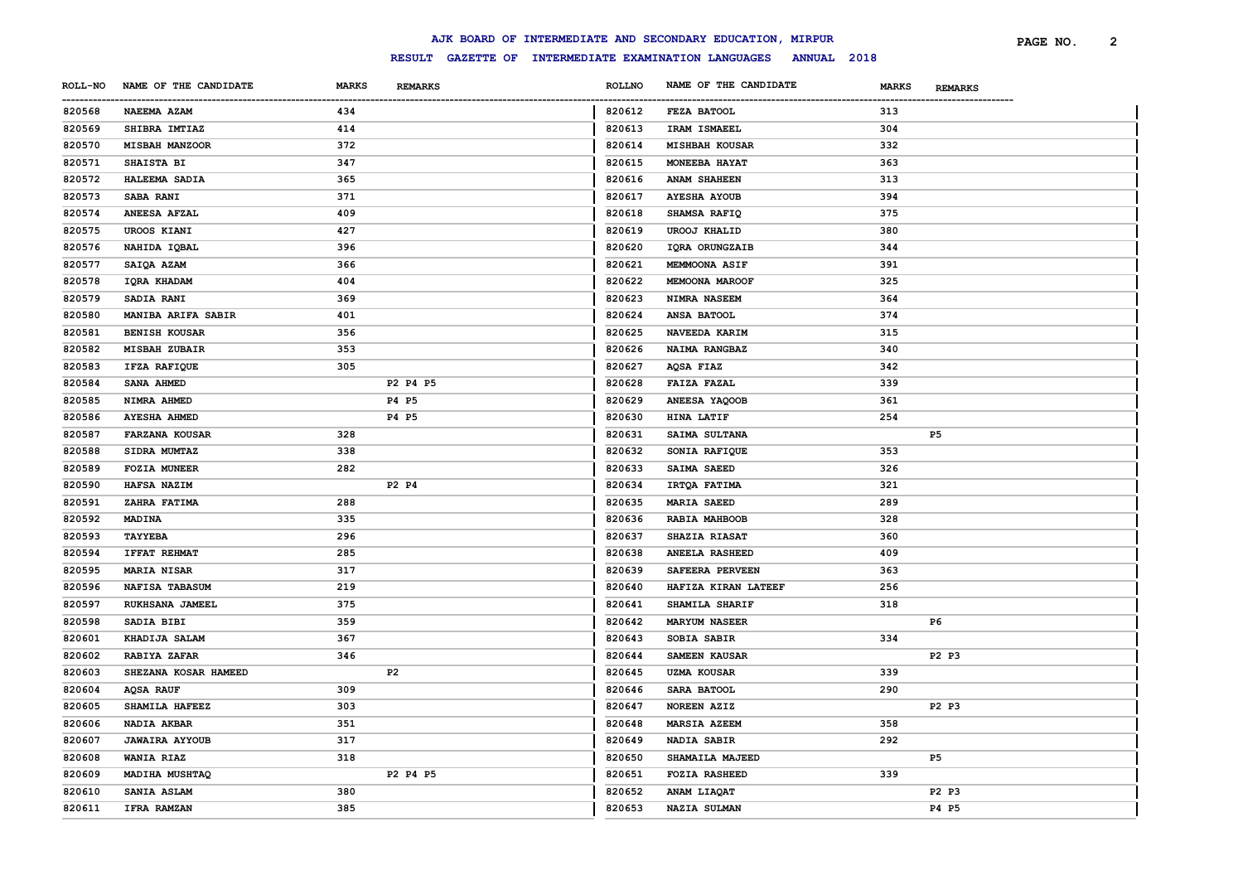|                |                       |              |                                                                  |               | AJK BOARD OF INTERMEDIATE AND SECONDARY EDUCATION, MIRPUR |              |                | PAGE NO. | $\overline{2}$ |
|----------------|-----------------------|--------------|------------------------------------------------------------------|---------------|-----------------------------------------------------------|--------------|----------------|----------|----------------|
|                |                       |              | RESULT GAZETTE OF INTERMEDIATE EXAMINATION LANGUAGES ANNUAL 2018 |               |                                                           |              |                |          |                |
| <b>ROLL-NO</b> | NAME OF THE CANDIDATE | <b>MARKS</b> | <b>REMARKS</b>                                                   | <b>ROLLNO</b> | NAME OF THE CANDIDATE                                     | <b>MARKS</b> | <b>REMARKS</b> |          |                |
| 820568         | <b>NAEEMA AZAM</b>    | 434          |                                                                  | 820612        | FEZA BATOOL                                               | 313          |                |          |                |
| 820569         | SHIBRA IMTIAZ         | 414          |                                                                  | 820613        | IRAM ISMAEEL                                              | 304          |                |          |                |
| 820570         | <b>MISBAH MANZOOR</b> | 372          |                                                                  | 820614        | <b>MISHBAH KOUSAR</b>                                     | 332          |                |          |                |
| 820571         | <b>SHAISTA BI</b>     | 347          |                                                                  | 820615        | MONEEBA HAYAT                                             | 363          |                |          |                |
| 820572         | HALEEMA SADIA         | 365          |                                                                  | 820616        | <b>ANAM SHAHEEN</b>                                       | 313          |                |          |                |
| 820573         | <b>SABA RANI</b>      | 371          |                                                                  | 820617        | <b>AYESHA AYOUB</b>                                       | 394          |                |          |                |
| 820574         | <b>ANEESA AFZAL</b>   | 409          |                                                                  | 820618        | SHAMSA RAFIQ                                              | 375          |                |          |                |
| 820575         | UROOS KIANI           | 427          |                                                                  | 820619        | <b>UROOJ KHALID</b>                                       | 380          |                |          |                |
| 820576         | NAHIDA IQBAL          | 396          |                                                                  | 820620        | IQRA ORUNGZAIB                                            | 344          |                |          |                |
| 820577         | SAIQA AZAM            | 366          |                                                                  | 820621        | MEMMOONA ASIF                                             | 391          |                |          |                |
| 820578         | IQRA KHADAM           | 404          |                                                                  | 820622        | <b>MEMOONA MAROOF</b>                                     | 325          |                |          |                |
| 820579         | <b>SADIA RANI</b>     | 369          |                                                                  | 820623        | NIMRA NASEEM                                              | 364          |                |          |                |
| 820580         | MANIBA ARIFA SABIR    | 401          |                                                                  | 820624        | ANSA BATOOL                                               | 374          |                |          |                |
| 820581         | <b>BENISH KOUSAR</b>  | 356          |                                                                  | 820625        | NAVEEDA KARIM                                             | 315          |                |          |                |
| 820582         | <b>MISBAH ZUBAIR</b>  | 353          |                                                                  | 820626        | NAIMA RANGBAZ                                             | 340          |                |          |                |
| 820583         | IFZA RAFIQUE          | 305          |                                                                  | 820627        | AQSA FIAZ                                                 | 342          |                |          |                |
| 820584         | SANA AHMED            |              | P2 P4 P5                                                         | 820628        | <b>FAIZA FAZAL</b>                                        | 339          |                |          |                |
| 820585         | NIMRA AHMED           |              | P4 P5                                                            | 820629        | ANEESA YAQOOB                                             | 361          |                |          |                |
| 820586         | <b>AYESHA AHMED</b>   |              | P4 P5                                                            | 820630        | HINA LATIF                                                | 254          |                |          |                |
| 820587         | <b>FARZANA KOUSAR</b> | 328          |                                                                  | 820631        | SAIMA SULTANA                                             |              | P <sub>5</sub> |          |                |
| 820588         | SIDRA MUMTAZ          | 338          |                                                                  | 820632        | SONIA RAFIQUE                                             | 353          |                |          |                |
| 820589         | <b>FOZIA MUNEER</b>   | 282          |                                                                  | 820633        | SAIMA SAEED                                               | 326          |                |          |                |
| 820590         | HAFSA NAZIM           |              | P2 P4                                                            | 820634        | IRTQA FATIMA                                              | 321          |                |          |                |
| 820591         | ZAHRA FATIMA          | 288          |                                                                  | 820635        | <b>MARIA SAEED</b>                                        | 289          |                |          |                |
| 820592         | <b>MADINA</b>         | 335          |                                                                  | 820636        | RABIA MAHBOOB                                             | 328          |                |          |                |
| 820593         | <b>TAYYEBA</b>        | 296          |                                                                  | 820637        | SHAZIA RIASAT                                             | 360          |                |          |                |
| 820594         | <b>IFFAT REHMAT</b>   | 285          |                                                                  | 820638        | <b>ANEELA RASHEED</b>                                     | 409          |                |          |                |
| 820595         | <b>MARIA NISAR</b>    | 317          |                                                                  | 820639        | SAFEERA PERVEEN                                           | 363          |                |          |                |
| 820596         | <b>NAFISA TABASUM</b> | 219          |                                                                  | 820640        | HAFIZA KIRAN LATEEF                                       | 256          |                |          |                |
| 820597         | RUKHSANA JAMEEL       | 375          |                                                                  | 820641        | SHAMILA SHARIF                                            | 318          |                |          |                |
| 820598         | SADIA BIBI            | 359          |                                                                  | 820642        | <b>MARYUM NASEER</b>                                      |              | P6             |          |                |
| 820601         | KHADIJA SALAM         | 367          |                                                                  | 820643        | SOBIA SABIR                                               | 334          |                |          |                |
| 820602         | <b>RABIYA ZAFAR</b>   | 346          |                                                                  | 820644        | <b>SAMEEN KAUSAR</b>                                      |              | P2 P3          |          |                |
| 820603         | SHEZANA KOSAR HAMEED  |              | P2                                                               | 820645        | <b>UZMA KOUSAR</b>                                        | 339          |                |          |                |
| 820604         | <b>AQSA RAUF</b>      | 309          |                                                                  | 820646        | SARA BATOOL                                               | 290          |                |          |                |
| 820605         | SHAMILA HAFEEZ        | 303          |                                                                  | 820647        | <b>NOREEN AZIZ</b>                                        |              | P2 P3          |          |                |
| 820606         | NADIA AKBAR           | 351          |                                                                  | 820648        | <b>MARSIA AZEEM</b>                                       | 358          |                |          |                |
| 820607         | <b>JAWAIRA AYYOUB</b> | 317          |                                                                  | 820649        | NADIA SABIR                                               | 292          |                |          |                |
| 820608         | WANIA RIAZ            | 318          |                                                                  | 820650        | SHAMAILA MAJEED                                           |              | P5             |          |                |
| 820609         | MADIHA MUSHTAQ        |              | P2 P4 P5                                                         | 820651        | <b>FOZIA RASHEED</b>                                      | 339          |                |          |                |
| 820610         | SANIA ASLAM           | 380          |                                                                  | 820652        | ANAM LIAQAT                                               |              | P2 P3          |          |                |
| 820611         | IFRA RAMZAN           | 385          |                                                                  | 820653        | NAZIA SULMAN                                              |              | P4 P5          |          |                |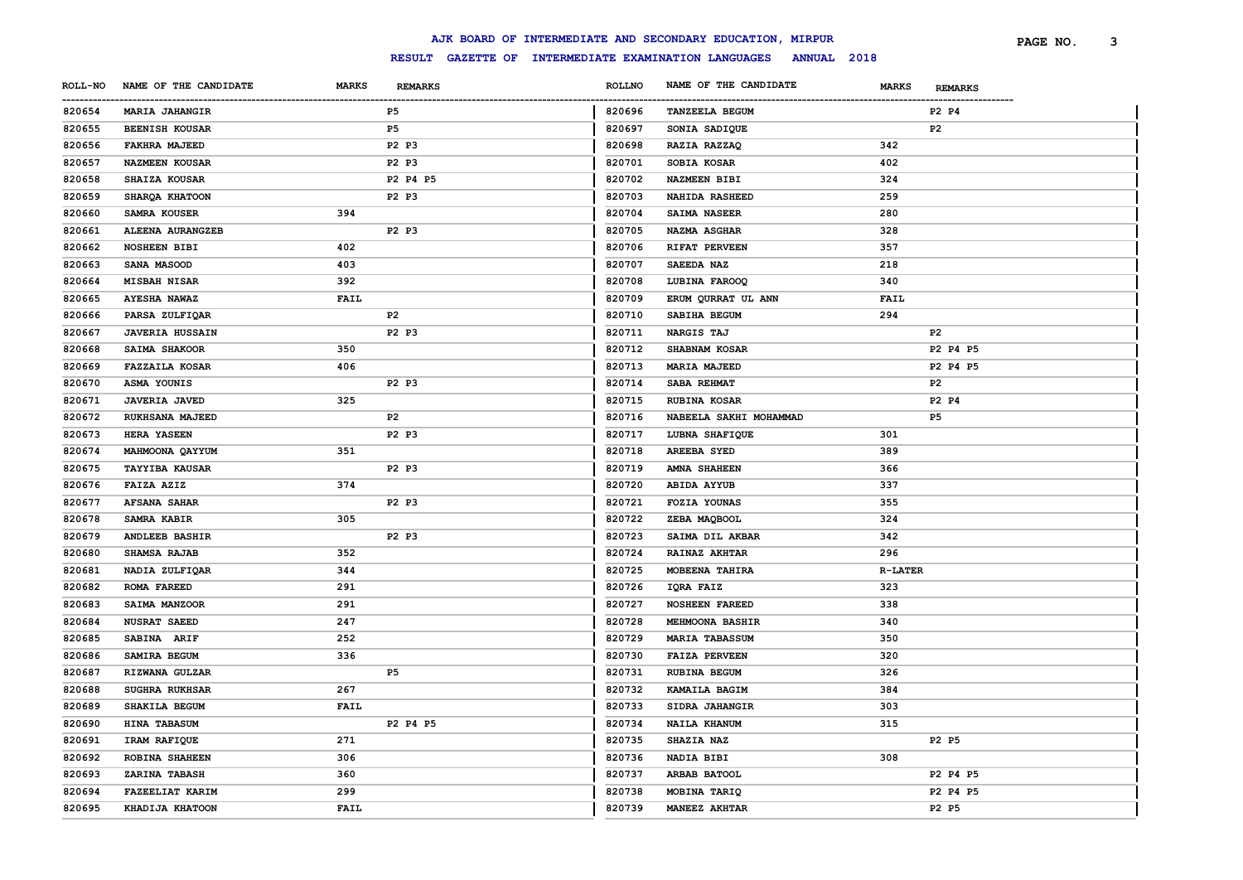|        |                               |              |                |                          | AJK BOARD OF INTERMEDIATE AND SECONDARY EDUCATION, MIRPUR        |                |                | PAGE NO. | з |
|--------|-------------------------------|--------------|----------------|--------------------------|------------------------------------------------------------------|----------------|----------------|----------|---|
|        |                               |              |                |                          | RESULT GAZETTE OF INTERMEDIATE EXAMINATION LANGUAGES ANNUAL 2018 |                |                |          |   |
|        | ROLL-NO NAME OF THE CANDIDATE | <b>MARKS</b> | <b>REMARKS</b> | <b>ROLLNO</b>            | NAME OF THE CANDIDATE                                            | <b>MARKS</b>   | <b>REMARKS</b> |          |   |
| 820654 | <b>MARIA JAHANGIR</b>         |              | P5             | --------------<br>820696 | <b>TANZEELA BEGUM</b>                                            |                | P2 P4          |          |   |
| 820655 | <b>BEENISH KOUSAR</b>         |              | P5             | 820697                   | SONIA SADIQUE                                                    |                | P <sub>2</sub> |          |   |
| 820656 | <b>FAKHRA MAJEED</b>          |              | P2 P3          | 820698                   | RAZIA RAZZAQ                                                     | 342            |                |          |   |
| 820657 | <b>NAZMEEN KOUSAR</b>         |              | P2 P3          | 820701                   | SOBIA KOSAR                                                      | 402            |                |          |   |
| 820658 | SHAIZA KOUSAR                 |              | P2 P4 P5       | 820702                   | <b>NAZMEEN BIBI</b>                                              | 324            |                |          |   |
| 820659 | SHARQA KHATOON                |              | P2 P3          | 820703                   | <b>NAHIDA RASHEED</b>                                            | 259            |                |          |   |
| 820660 | SAMRA KOUSER                  | 394          |                | 820704                   | SAIMA NASEER                                                     | 280            |                |          |   |
| 820661 | ALEENA AURANGZEB              |              | P2 P3          | 820705                   | NAZMA ASGHAR                                                     | 328            |                |          |   |
| 820662 | <b>NOSHEEN BIBI</b>           | 402          |                | 820706                   | RIFAT PERVEEN                                                    | 357            |                |          |   |
| 820663 | SANA MASOOD                   | 403          |                | 820707                   | SAEEDA NAZ                                                       | 218            |                |          |   |
| 820664 | <b>MISBAH NISAR</b>           | 392          |                | 820708                   | LUBINA FAROOQ                                                    | 340            |                |          |   |
| 820665 | <b>AYESHA NAWAZ</b>           | <b>FAIL</b>  |                | 820709                   | ERUM QURRAT UL ANN                                               | <b>FAIL</b>    |                |          |   |
| 820666 | PARSA ZULFIQAR                |              | P2             | 820710                   | SABIHA BEGUM                                                     | 294            |                |          |   |
| 820667 | <b>JAVERIA HUSSAIN</b>        |              | P2 P3          | 820711                   | NARGIS TAJ                                                       |                | P <sub>2</sub> |          |   |
| 820668 | SAIMA SHAKOOR                 | 350          |                | 820712                   | SHABNAM KOSAR                                                    |                | P2 P4 P5       |          |   |
| 820669 | <b>FAZZAILA KOSAR</b>         | 406          |                | 820713                   | <b>MARIA MAJEED</b>                                              |                | P2 P4 P5       |          |   |
| 820670 | ASMA YOUNIS                   |              | P2 P3          | 820714                   | SABA REHMAT                                                      |                | P <sub>2</sub> |          |   |
| 820671 | <b>JAVERIA JAVED</b>          | 325          |                | 820715                   | <b>RUBINA KOSAR</b>                                              |                | P2 P4          |          |   |
| 820672 | <b>RUKHSANA MAJEED</b>        |              | P <sub>2</sub> | 820716                   | NABEELA SAKHI MOHAMMAD                                           |                | P5             |          |   |
| 820673 | <b>HERA YASEEN</b>            |              | P2 P3          | 820717                   | LUBNA SHAFIQUE                                                   | 301            |                |          |   |
| 820674 | MAHMOONA QAYYUM               | 351          |                | 820718                   | <b>AREEBA SYED</b>                                               | 389            |                |          |   |
| 820675 | <b>TAYYIBA KAUSAR</b>         |              | P2 P3          | 820719                   | <b>AMNA SHAHEEN</b>                                              | 366            |                |          |   |
| 820676 | FAIZA AZIZ                    | 374          |                | 820720                   | <b>ABIDA AYYUB</b>                                               | 337            |                |          |   |
| 820677 | <b>AFSANA SAHAR</b>           |              | P2 P3          | 820721                   | FOZIA YOUNAS                                                     | 355            |                |          |   |
| 820678 | SAMRA KABIR                   | 305          |                | 820722                   | ZEBA MAQBOOL                                                     | 324            |                |          |   |
| 820679 | <b>ANDLEEB BASHIR</b>         |              | P2 P3          | 820723                   | SAIMA DIL AKBAR                                                  | 342            |                |          |   |
| 820680 | SHAMSA RAJAB                  | 352          |                | 820724                   | RAINAZ AKHTAR                                                    | 296            |                |          |   |
| 820681 | NADIA ZULFIQAR                | 344          |                | 820725                   | MOBEENA TAHIRA                                                   | <b>R-LATER</b> |                |          |   |
| 820682 | ROMA FAREED                   | 291          |                | 820726                   | IQRA FAIZ                                                        | 323            |                |          |   |
| 820683 | SAIMA MANZOOR                 | 291          |                | 820727                   | <b>NOSHEEN FAREED</b>                                            | 338            |                |          |   |
| 820684 | <b>NUSRAT SAEED</b>           | 247          |                | 820728                   | <b>MEHMOONA BASHIR</b>                                           | 340            |                |          |   |
| 820685 | SABINA ARIF                   | 252          |                | 820729                   | <b>MARIA TABASSUM</b>                                            | 350            |                |          |   |
| 820686 | SAMIRA BEGUM                  | 336          |                | 820730                   | <b>FAIZA PERVEEN</b>                                             | 320            |                |          |   |
| 820687 | RIZWANA GULZAR                |              | P5             | 820731                   | <b>RUBINA BEGUM</b>                                              | 326            |                |          |   |
| 820688 | SUGHRA RUKHSAR                | 267          |                | 820732                   | KAMAILA BAGIM                                                    | 384            |                |          |   |
| 820689 | SHAKILA BEGUM                 | <b>FAIL</b>  |                | 820733                   | SIDRA JAHANGIR                                                   | 303            |                |          |   |
| 820690 | HINA TABASUM                  |              | P2 P4 P5       | 820734                   | NAILA KHANUM                                                     | 315            |                |          |   |
| 820691 | IRAM RAFIQUE                  | 271          |                | 820735                   | <b>SHAZIA NAZ</b>                                                |                | P2 P5          |          |   |
| 820692 | ROBINA SHAHEEN                | 306          |                | 820736                   | NADIA BIBI                                                       | 308            |                |          |   |
| 820693 | ZARINA TABASH                 | 360          |                | 820737                   | <b>ARBAB BATOOL</b>                                              |                | P2 P4 P5       |          |   |
| 820694 | <b>FAZEELIAT KARIM</b>        | 299          |                | 820738                   | MOBINA TARIQ                                                     |                | P2 P4 P5       |          |   |
| 820695 | KHADIJA KHATOON               | <b>FAIL</b>  |                | 820739                   | MANEEZ AKHTAR                                                    |                | P2 P5          |          |   |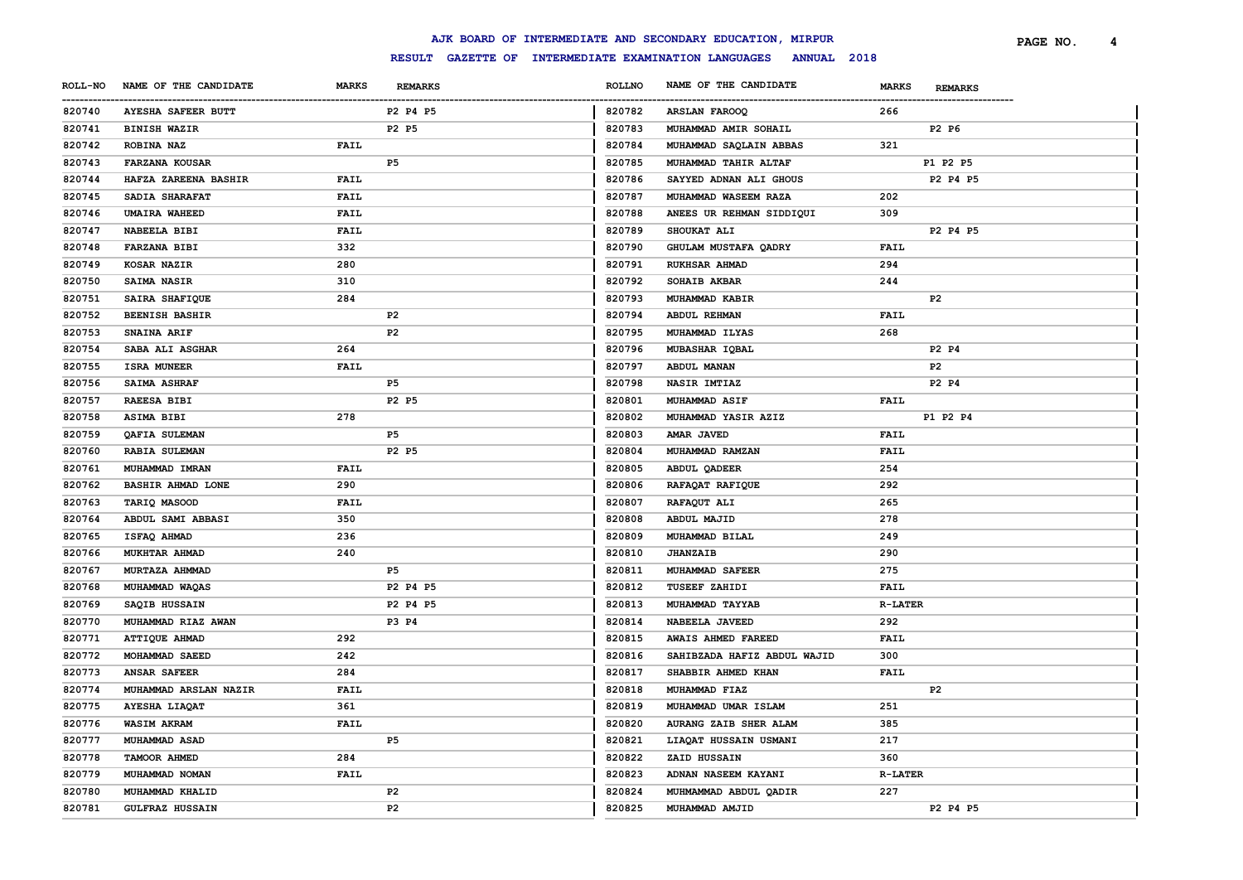|                       |                           |              |                |                         | AJK BOARD OF INTERMEDIATE AND SECONDARY EDUCATION, MIRPUR        |                |                | PAGE NO. | 4 |
|-----------------------|---------------------------|--------------|----------------|-------------------------|------------------------------------------------------------------|----------------|----------------|----------|---|
|                       |                           |              |                |                         | RESULT GAZETTE OF INTERMEDIATE EXAMINATION LANGUAGES ANNUAL 2018 |                |                |          |   |
| <b>ROLL-NO</b>        | NAME OF THE CANDIDATE     | <b>MARKS</b> | <b>REMARKS</b> | <b>ROLLNO</b>           | NAME OF THE CANDIDATE                                            | <b>MARKS</b>   | <b>REMARKS</b> |          |   |
| -----------<br>820740 | <b>AYESHA SAFEER BUTT</b> |              | P2 P4 P5       | -------------<br>820782 | ARSLAN FAROOQ                                                    | 266            |                |          |   |
| 820741                | <b>BINISH WAZIR</b>       |              | P2 P5          | 820783                  | MUHAMMAD AMIR SOHAIL                                             |                | P2 P6          |          |   |
| 820742                | ROBINA NAZ                | FAIL         |                | 820784                  | MUHAMMAD SAQLAIN ABBAS                                           | 321            |                |          |   |
| 820743                | <b>FARZANA KOUSAR</b>     |              | P <sub>5</sub> | 820785                  | MUHAMMAD TAHIR ALTAF                                             |                | P1 P2 P5       |          |   |
| 820744                | HAFZA ZAREENA BASHIR      | FAIL         |                | 820786                  | SAYYED ADNAN ALI GHOUS                                           |                | P2 P4 P5       |          |   |
| 820745                | SADIA SHARAFAT            | FAIL         |                | 820787                  | MUHAMMAD WASEEM RAZA                                             | 202            |                |          |   |
| 820746                | <b>UMAIRA WAHEED</b>      | FAIL         |                | 820788                  | ANEES UR REHMAN SIDDIQUI                                         | 309            |                |          |   |
| 820747                | NABEELA BIBI              | FAIL         |                | 820789                  | SHOUKAT ALI                                                      |                | P2 P4 P5       |          |   |
| 820748                | <b>FARZANA BIBI</b>       | 332          |                | 820790                  | GHULAM MUSTAFA QADRY                                             | FAIL           |                |          |   |
| 820749                | KOSAR NAZIR               | 280          |                | 820791                  | <b>RUKHSAR AHMAD</b>                                             | 294            |                |          |   |
| 820750                | SAIMA NASIR               | 310          |                | 820792                  | SOHAIB AKBAR                                                     | 244            |                |          |   |
| 820751                | SAIRA SHAFIQUE            | 284          |                | 820793                  | MUHAMMAD KABIR                                                   |                | P <sub>2</sub> |          |   |
| 820752                | <b>BEENISH BASHIR</b>     |              | P2             | 820794                  | <b>ABDUL REHMAN</b>                                              | FAIL           |                |          |   |
| 820753                | SNAINA ARIF               |              | P <sub>2</sub> | 820795                  | MUHAMMAD ILYAS                                                   | 268            |                |          |   |
| 820754                | SABA ALI ASGHAR           | 264          |                | 820796                  | MUBASHAR IQBAL                                                   |                | P2 P4          |          |   |
| 820755                | <b>ISRA MUNEER</b>        | <b>FAIL</b>  |                | 820797                  | ABDUL MANAN                                                      |                | P <sub>2</sub> |          |   |
| 820756                | <b>SAIMA ASHRAF</b>       |              | P5             | 820798                  | <b>NASIR IMTIAZ</b>                                              |                | P2 P4          |          |   |
| 820757                | <b>RAEESA BIBI</b>        |              | P2 P5          | 820801                  | MUHAMMAD ASIF                                                    | <b>FAIL</b>    |                |          |   |
| 820758                | ASIMA BIBI                | 278          |                | 820802                  | MUHAMMAD YASIR AZIZ                                              |                | P1 P2 P4       |          |   |
| 820759                | QAFIA SULEMAN             |              | P <sub>5</sub> | 820803                  | AMAR JAVED                                                       | <b>FAIL</b>    |                |          |   |
| 820760                | <b>RABIA SULEMAN</b>      |              | P2 P5          | 820804                  | MUHAMMAD RAMZAN                                                  | FAIL           |                |          |   |
| 820761                | MUHAMMAD IMRAN            | FAIL         |                | 820805                  | ABDUL QADEER                                                     | 254            |                |          |   |
| 820762                | <b>BASHIR AHMAD LONE</b>  | 290          |                | 820806                  | RAFAQAT RAFIQUE                                                  | 292            |                |          |   |
| 820763                | TARIQ MASOOD              | FAIL         |                | 820807                  | RAFAQUT ALI                                                      | 265            |                |          |   |
| 820764                | ABDUL SAMI ABBASI         | 350          |                | 820808                  | ABDUL MAJID                                                      | 278            |                |          |   |
| 820765                | ISFAQ AHMAD               | 236          |                | 820809                  | MUHAMMAD BILAL                                                   | 249            |                |          |   |
| 820766                | MUKHTAR AHMAD             | 240          |                | 820810                  | <b>JHANZAIB</b>                                                  | 290            |                |          |   |
| 820767                | MURTAZA AHMMAD            |              | P5             | 820811                  | MUHAMMAD SAFEER                                                  | 275            |                |          |   |
| 820768                | MUHAMMAD WAQAS            |              | P2 P4 P5       | 820812                  | TUSEEF ZAHIDI                                                    | FAIL           |                |          |   |
| 820769                | SAQIB HUSSAIN             |              | P2 P4 P5       | 820813                  | MUHAMMAD TAYYAB                                                  | <b>R-LATER</b> |                |          |   |
| 820770                | MUHAMMAD RIAZ AWAN        |              | P3 P4          | 820814                  | NABEELA JAVEED                                                   | 292            |                |          |   |
| 820771                | ATTIQUE AHMAD             | 292          |                | 820815                  | AWAIS AHMED FAREED                                               | <b>FAIL</b>    |                |          |   |
| 820772                | MOHAMMAD SAEED            | 242          |                | 820816                  | SAHIBZADA HAFIZ ABDUL WAJID                                      | 300            |                |          |   |
| 820773                | <b>ANSAR SAFEER</b>       | 284          |                | 820817                  | SHABBIR AHMED KHAN                                               | FAIL           |                |          |   |
| 820774                | MUHAMMAD ARSLAN NAZIR     | FAIL         |                | 820818                  | MUHAMMAD FIAZ                                                    |                | P <sub>2</sub> |          |   |
| 820775                | AYESHA LIAQAT             | 361          |                | 820819                  | MUHAMMAD UMAR ISLAM                                              | 251            |                |          |   |
| 820776                | <b>WASIM AKRAM</b>        | FAIL         |                | 820820                  | AURANG ZAIB SHER ALAM                                            | 385            |                |          |   |
| 820777                | MUHAMMAD ASAD             |              | P5             | 820821                  | LIAQAT HUSSAIN USMANI                                            | 217            |                |          |   |
| 820778                | TAMOOR AHMED              | 284          |                | 820822                  | ZAID HUSSAIN                                                     | 360            |                |          |   |
| 820779                | MUHAMMAD NOMAN            | FAIL         |                | 820823                  | ADNAN NASEEM KAYANI                                              | <b>R-LATER</b> |                |          |   |
| 820780                | MUHAMMAD KHALID           |              | P <sub>2</sub> | 820824                  | MUHMAMMAD ABDUL QADIR                                            | 227            |                |          |   |
| 820781                | <b>GULFRAZ HUSSAIN</b>    |              | P <sub>2</sub> | 820825                  | MUHAMMAD AMJID                                                   |                | P2 P4 P5       |          |   |